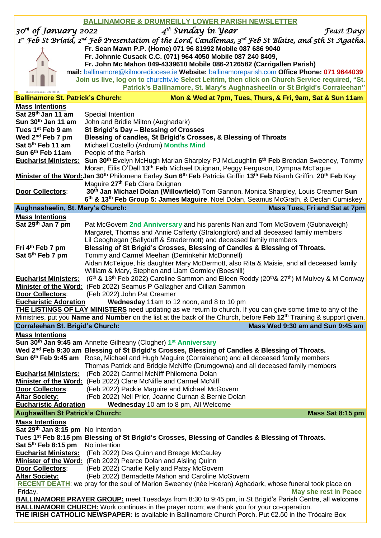|                                                                                                                                         | <b>BALLINAMORE &amp; DRUMREILLY LOWER PARISH NEWSLETTER</b>                                                                                                          |
|-----------------------------------------------------------------------------------------------------------------------------------------|----------------------------------------------------------------------------------------------------------------------------------------------------------------------|
| 30 <sup>th</sup> of January 2022                                                                                                        | $4^{th}$ Sunday in Year<br><b>Feast Days</b>                                                                                                                         |
|                                                                                                                                         | 1st Feb St Brigid, 2nd Feb Presentation of the Lord, Candlemas, 3rd Feb St Blaise, and 5th St Agatha.                                                                |
|                                                                                                                                         | Fr. Sean Mawn P.P. (Home) 071 96 81992 Mobile 087 686 9040                                                                                                           |
|                                                                                                                                         | Fr. Johnnie Cusack C.C. (071) 964 4050 Mobile 087 240 8409,                                                                                                          |
|                                                                                                                                         | Fr. John Mc Mahon 049-4339610 Mobile 086-2126582 (Carrigallen Parish)                                                                                                |
|                                                                                                                                         | mail: ballinamore@kilmorediocese.ie Website: ballinamoreparish.com Office Phone: 071 9644039                                                                         |
|                                                                                                                                         | Join us live, log on to <i>churchtv.ie</i> Select Leitrim, then click on Church Service required, "St.                                                               |
|                                                                                                                                         | Patrick's Ballinamore, St. Mary's Aughnasheelin or St Brigid's Corraleehan"                                                                                          |
| <b>Ballinamore St. Patrick's Church:</b>                                                                                                | Mon & Wed at 7pm, Tues, Thurs, & Fri, 9am, Sat & Sun 11am                                                                                                            |
| <b>Mass Intentions</b>                                                                                                                  |                                                                                                                                                                      |
| Sat 29th Jan 11 am                                                                                                                      | Special Intention                                                                                                                                                    |
| Sun 30th Jan 11 am<br>Tues 1 <sup>st</sup> Feb 9 am                                                                                     | John and Bridie Milton (Aughadark)<br>St Brigid's Day - Blessing of Crosses                                                                                          |
| Wed $2^{nd}$ Feb 7 pm                                                                                                                   | Blessing of candles, St Brigid's Crosses, & Blessing of Throats                                                                                                      |
| Sat 5 <sup>th</sup> Feb 11 am                                                                                                           | Michael Costello (Ardrum) Months Mind                                                                                                                                |
| Sun 6th Feb 11am                                                                                                                        | People of the Parish                                                                                                                                                 |
| <b>Eucharist Ministers:</b>                                                                                                             | Sun 30 <sup>th</sup> Evelyn McHugh Marian Sharpley PJ McLoughlin 6 <sup>th</sup> Feb Brendan Sweeney, Tommy                                                          |
|                                                                                                                                         | Moran, Eilis O'Dell 13 <sup>th</sup> Feb Michael Duignan, Peggy Ferguson, Dympna McTague                                                                             |
|                                                                                                                                         | Minister of the Word: Jan 30 <sup>th</sup> Philomena Earley Sun 6 <sup>th</sup> Feb Patricia Griffin 13 <sup>th</sup> Feb Niamh Griffin, 20 <sup>th</sup> Feb Kay    |
|                                                                                                                                         | Maguire 27 <sup>th</sup> Feb Ciara Duignan                                                                                                                           |
| Door Collectors:                                                                                                                        | 30th Jan Michael Dolan (Willowfield) Tom Gannon, Monica Sharpley, Louis Creamer Sun                                                                                  |
|                                                                                                                                         | 6 <sup>th</sup> & 13 <sup>th</sup> Feb Group 5: James Maguire, Noel Dolan, Seamus McGrath, & Declan Cumiskey                                                         |
| Aughnasheelin, St. Mary's Church:                                                                                                       | Mass Tues, Fri and Sat at 7pm                                                                                                                                        |
| <b>Mass Intentions</b>                                                                                                                  |                                                                                                                                                                      |
| Sat 29th Jan 7 pm                                                                                                                       | Pat McGovern 2nd Anniversary and his parents Nan and Tom McGovern (Gubnaveigh)<br>Margaret, Thomas and Annie Cafferty (Stralongford) and all deceased family members |
|                                                                                                                                         | Lil Geoghegan (Ballyduff & Stradermott) and deceased family members                                                                                                  |
| Fri 4 <sup>th</sup> Feb 7 pm                                                                                                            | Blessing of St Brigid's Crosses, Blessing of Candles & Blessing of Throats.                                                                                          |
| Sat 5th Feb 7 pm                                                                                                                        | Tommy and Carmel Meehan (Derrinkehir McDonnell)                                                                                                                      |
|                                                                                                                                         | Aidan McTeigue, his daughter Mary McDermott, also Rita & Maisie, and all deceased family                                                                             |
|                                                                                                                                         | William & Mary, Stephen and Liam Gormley (Boeshill)                                                                                                                  |
| <b>Eucharist Ministers:</b>                                                                                                             | (6 <sup>th</sup> & 13 <sup>th</sup> Feb 2022) Caroline Sammon and Eileen Roddy (20 <sup>th</sup> & 27 <sup>th</sup> ) M Mulvey & M Conway                            |
|                                                                                                                                         | Minister of the Word: (Feb 2022) Seamus P Gallagher and Cillian Sammon                                                                                               |
| Door Collectors:                                                                                                                        | (Feb 2022) John Pat Creamer                                                                                                                                          |
| <b>Eucharistic Adoration</b>                                                                                                            | Wednesday 11am to 12 noon, and 8 to 10 pm<br><b>THE LISTINGS OF LAY MINISTERS</b> need updating as we return to church. If you can give some time to any of the      |
| Ministries, put you <b>Name and Number</b> on the list at the back of the Church, before Feb 12 <sup>th</sup> Training & support given. |                                                                                                                                                                      |
| <b>Corraleehan St. Brigid's Church:</b>                                                                                                 | Mass Wed 9:30 am and Sun 9:45 am                                                                                                                                     |
| <b>Mass Intentions</b>                                                                                                                  |                                                                                                                                                                      |
|                                                                                                                                         | Sun 30 <sup>th</sup> Jan 9:45 am Annette Gilheany (Clogher) 1 <sup>st</sup> Anniversary                                                                              |
|                                                                                                                                         | Wed 2nd Feb 9:30 am Blessing of St Brigid's Crosses, Blessing of Candles & Blessing of Throats.                                                                      |
|                                                                                                                                         | Sun 6th Feb 9:45 am Rose, Michael and Hugh Maguire (Corraleehan) and all deceased family members                                                                     |
|                                                                                                                                         | Thomas Patrick and Bridgie McNiffe (Drumgowna) and all deceased family members                                                                                       |
| <b>Eucharist Ministers:</b>                                                                                                             | (Feb 2022) Carmel McNiff Philomena Dolan                                                                                                                             |
|                                                                                                                                         | Minister of the Word: (Feb 2022) Clare McNiffe and Carmel McNiff                                                                                                     |
| <b>Door Collectors:</b><br><b>Altar Society:</b>                                                                                        | (Feb 2022) Packie Maguire and Michael McGovern<br>(Feb 2022) Nell Prior, Joanne Curnan & Bernie Dolan                                                                |
| <b>Eucharistic Adoration</b>                                                                                                            | Wednesday 10 am to 8 pm, All Welcome                                                                                                                                 |
| <b>Aughawillan St Patrick's Church:</b>                                                                                                 | Mass Sat 8:15 pm                                                                                                                                                     |
| <b>Mass Intentions</b>                                                                                                                  |                                                                                                                                                                      |
| Sat 29th Jan 8:15 pm No Intention                                                                                                       |                                                                                                                                                                      |
|                                                                                                                                         | Tues 1 <sup>st</sup> Feb 8:15 pm Blessing of St Brigid's Crosses, Blessing of Candles & Blessing of Throats.                                                         |
| Sat 5 <sup>th</sup> Feb 8:15 pm                                                                                                         | No intention                                                                                                                                                         |
|                                                                                                                                         | <b>Eucharist Ministers:</b> (Feb 2022) Des Quinn and Breege McCauley                                                                                                 |
|                                                                                                                                         | Minister of the Word: (Feb 2022) Pearce Dolan and Aisling Quinn                                                                                                      |
| <b>Door Collectors:</b>                                                                                                                 | (Feb 2022) Charlie Kelly and Patsy McGovern                                                                                                                          |
| <b>Altar Society:</b>                                                                                                                   | (Feb 2022) Bernadette Mahon and Caroline McGovern                                                                                                                    |
| Friday.                                                                                                                                 | <b>RECENT DEATH:</b> we pray for the soul of Marion Sweeney (née Heeran) Aghadark, whose funeral took place on<br><b>May she rest in Peace</b>                       |
|                                                                                                                                         | <b>BALLINAMORE PRAYER GROUP:</b> meet Tuesdays from 8:30 to 9:45 pm, in St Brigid's Parish Centre, all welcome                                                       |
|                                                                                                                                         | <b>BALLINAMORE CHURCH:</b> Work continues in the prayer room; we thank you for your co-operation.                                                                    |
|                                                                                                                                         |                                                                                                                                                                      |
|                                                                                                                                         | THE IRISH CATHOLIC NEWSPAPER: is available in Ballinamore Church Porch. Put €2.50 in the Trócaire Box                                                                |